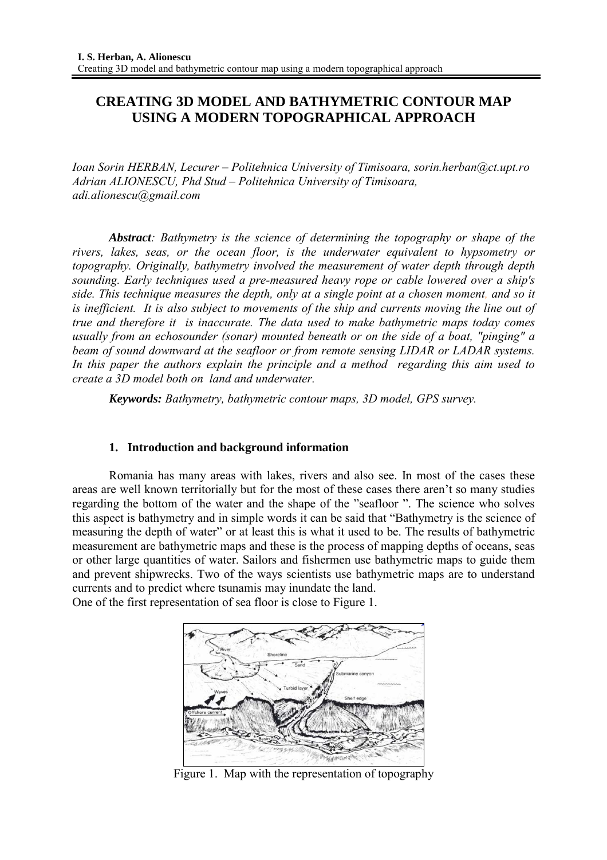# **CREATING 3D MODEL AND BATHYMETRIC CONTOUR MAP USING A MODERN TOPOGRAPHICAL APPROACH**

*Ioan Sorin HERBAN, Lecurer – Politehnica University of Timisoara, sorin.herban@ct.upt.ro Adrian ALIONESCU, Phd Stud – Politehnica University of Timisoara, adi.alionescu@gmail.com* 

*Abstract: Bathymetry is the science of determining the topography or shape of the rivers, lakes, seas, or the ocean floor, is the underwater equivalent to hypsometry or topography. Originally, bathymetry involved the measurement of water depth through depth sounding. Early techniques used a pre-measured heavy rope or cable lowered over a ship's side. This technique measures the depth, only at a single point at a chosen moment, and so it is inefficient. It is also subject to movements of the ship and currents moving the line out of true and therefore it is inaccurate. The data used to make bathymetric maps today comes usually from an echosounder (sonar) mounted beneath or on the side of a boat, "pinging" a beam of sound downward at the seafloor or from remote sensing LIDAR or LADAR systems. In this paper the authors explain the principle and a method regarding this aim used to create a 3D model both on land and underwater.*

*Keywords: Bathymetry, bathymetric contour maps, 3D model, GPS survey.* 

#### **1. Introduction and background information**

Romania has many areas with lakes, rivers and also see. In most of the cases these areas are well known territorially but for the most of these cases there aren't so many studies regarding the bottom of the water and the shape of the "seafloor ". The science who solves this aspect is bathymetry and in simple words it can be said that "Bathymetry is the science of measuring the depth of water" or at least this is what it used to be. The results of bathymetric measurement are bathymetric maps and these is the process of mapping depths of oceans, seas or other large quantities of water. Sailors and fishermen use bathymetric maps to guide them and prevent shipwrecks. Two of the ways scientists use bathymetric maps are to understand currents and to predict where tsunamis may inundate the land.

One of the first representation of sea floor is close to Figure 1.



Figure 1. Map with the representation of topography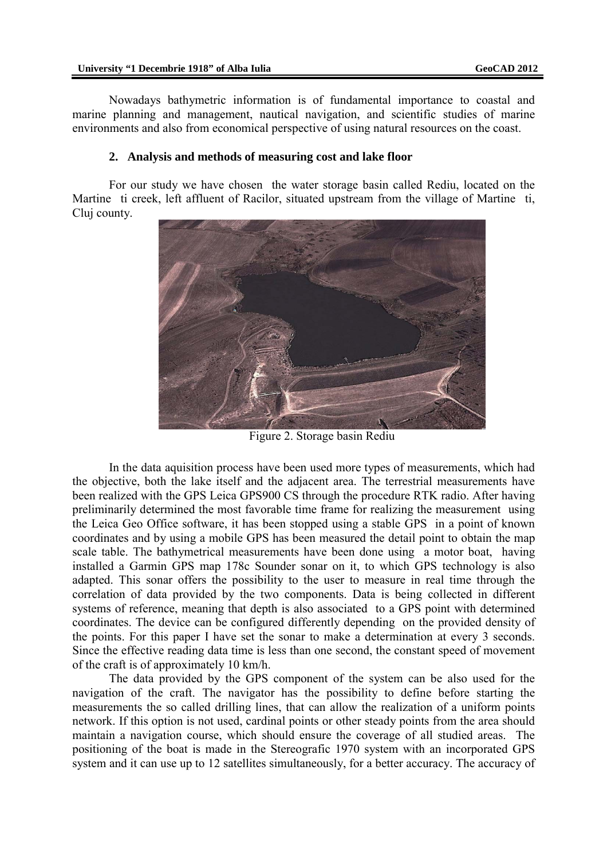Nowadays bathymetric information is of fundamental importance to coastal and marine planning and management, nautical navigation, and scientific studies of marine environments and also from economical perspective of using natural resources on the coast.

#### **2. Analysis and methods of measuring cost and lake floor**

For our study we have chosen the water storage basin called Rediu, located on the Martine ti creek, left affluent of Racilor, situated upstream from the village of Martine ti, Cluj county.



Figure 2. Storage basin Rediu

In the data aquisition process have been used more types of measurements, which had the objective, both the lake itself and the adjacent area. The terrestrial measurements have been realized with the GPS Leica GPS900 CS through the procedure RTK radio. After having preliminarily determined the most favorable time frame for realizing the measurement using the Leica Geo Office software, it has been stopped using a stable GPS in a point of known coordinates and by using a mobile GPS has been measured the detail point to obtain the map scale table. The bathymetrical measurements have been done using a motor boat, having installed a Garmin GPS map 178c Sounder sonar on it, to which GPS technology is also adapted. This sonar offers the possibility to the user to measure in real time through the correlation of data provided by the two components. Data is being collected in different systems of reference, meaning that depth is also associated to a GPS point with determined coordinates. The device can be configured differently depending on the provided density of the points. For this paper I have set the sonar to make a determination at every 3 seconds. Since the effective reading data time is less than one second, the constant speed of movement of the craft is of approximately 10 km/h.

The data provided by the GPS component of the system can be also used for the navigation of the craft. The navigator has the possibility to define before starting the measurements the so called drilling lines, that can allow the realization of a uniform points network. If this option is not used, cardinal points or other steady points from the area should maintain a navigation course, which should ensure the coverage of all studied areas. The positioning of the boat is made in the Stereografic 1970 system with an incorporated GPS system and it can use up to 12 satellites simultaneously, for a better accuracy. The accuracy of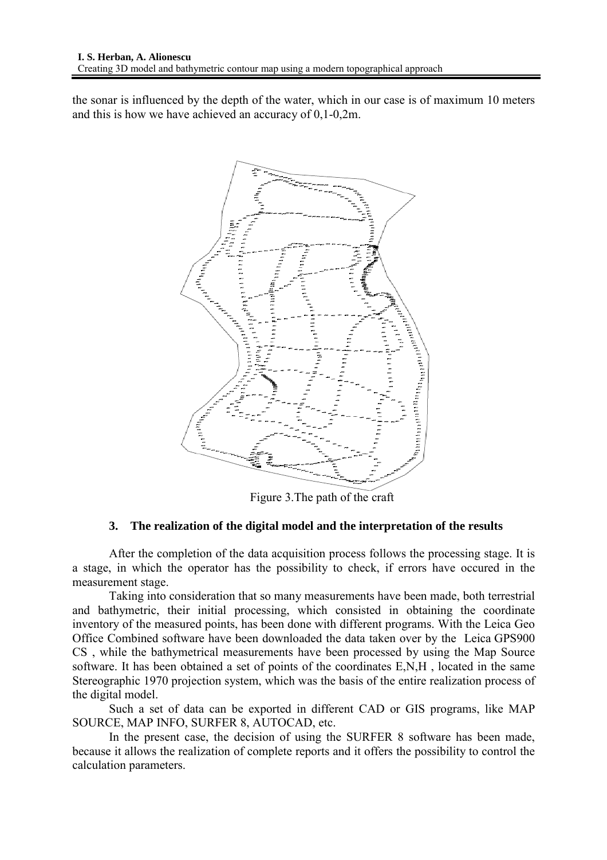the sonar is influenced by the depth of the water, which in our case is of maximum 10 meters and this is how we have achieved an accuracy of 0,1-0,2m.



Figure 3.The path of the craft

# **3. The realization of the digital model and the interpretation of the results**

After the completion of the data acquisition process follows the processing stage. It is a stage, in which the operator has the possibility to check, if errors have occured in the measurement stage.

Taking into consideration that so many measurements have been made, both terrestrial and bathymetric, their initial processing, which consisted in obtaining the coordinate inventory of the measured points, has been done with different programs. With the Leica Geo Office Combined software have been downloaded the data taken over by the Leica GPS900 CS , while the bathymetrical measurements have been processed by using the Map Source software. It has been obtained a set of points of the coordinates E,N,H , located in the same Stereographic 1970 projection system, which was the basis of the entire realization process of the digital model.

Such a set of data can be exported in different CAD or GIS programs, like MAP SOURCE, MAP INFO, SURFER 8, AUTOCAD, etc.

In the present case, the decision of using the SURFER 8 software has been made, because it allows the realization of complete reports and it offers the possibility to control the calculation parameters.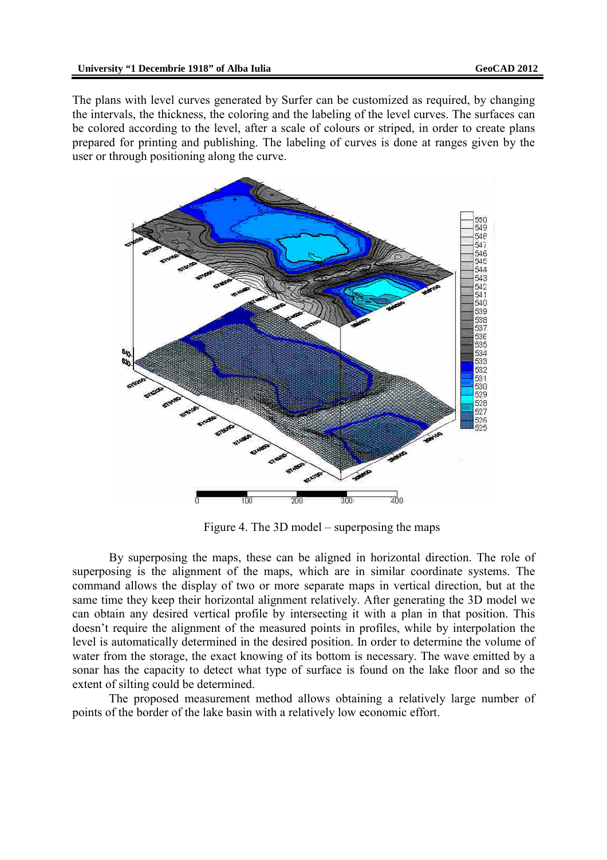The plans with level curves generated by Surfer can be customized as required, by changing the intervals, the thickness, the coloring and the labeling of the level curves. The surfaces can be colored according to the level, after a scale of colours or striped, in order to create plans prepared for printing and publishing. The labeling of curves is done at ranges given by the user or through positioning along the curve.



Figure 4. The 3D model – superposing the maps

By superposing the maps, these can be aligned in horizontal direction. The role of superposing is the alignment of the maps, which are in similar coordinate systems. The command allows the display of two or more separate maps in vertical direction, but at the same time they keep their horizontal alignment relatively. After generating the 3D model we can obtain any desired vertical profile by intersecting it with a plan in that position. This doesn't require the alignment of the measured points in profiles, while by interpolation the level is automatically determined in the desired position. In order to determine the volume of water from the storage, the exact knowing of its bottom is necessary. The wave emitted by a sonar has the capacity to detect what type of surface is found on the lake floor and so the extent of silting could be determined.

The proposed measurement method allows obtaining a relatively large number of points of the border of the lake basin with a relatively low economic effort.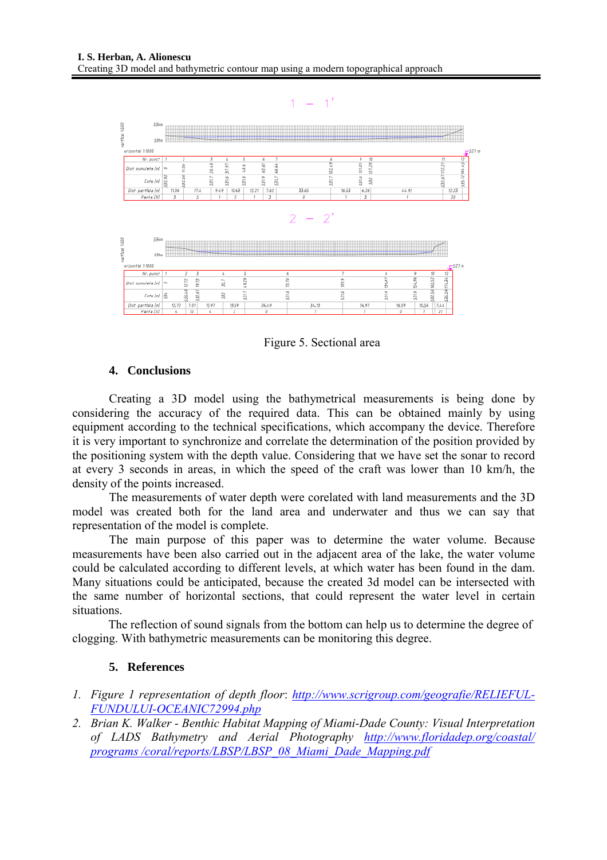

Figure 5. Sectional area

### **4. Conclusions**

Creating a 3D model using the bathymetrical measurements is being done by considering the accuracy of the required data. This can be obtained mainly by using equipment according to the technical specifications, which accompany the device. Therefore it is very important to synchronize and correlate the determination of the position provided by the positioning system with the depth value. Considering that we have set the sonar to record at every 3 seconds in areas, in which the speed of the craft was lower than 10 km/h, the density of the points increased.

The measurements of water depth were corelated with land measurements and the 3D model was created both for the land area and underwater and thus we can say that representation of the model is complete.

The main purpose of this paper was to determine the water volume. Because measurements have been also carried out in the adjacent area of the lake, the water volume could be calculated according to different levels, at which water has been found in the dam. Many situations could be anticipated, because the created 3d model can be intersected with the same number of horizontal sections, that could represent the water level in certain situations.

The reflection of sound signals from the bottom can help us to determine the degree of clogging. With bathymetric measurements can be monitoring this degree.

# **5. References**

- *1. Figure 1 representation of depth floor*: *http://www.scrigroup.com/geografie/RELIEFUL-FUNDULUI-OCEANIC72994.php*
- *2. Brian K. Walker Benthic Habitat Mapping of Miami-Dade County: Visual Interpretation of LADS Bathymetry and Aerial Photography http://www.floridadep.org/coastal/ programs /coral/reports/LBSP/LBSP\_08\_Miami\_Dade\_Mapping.pdf*